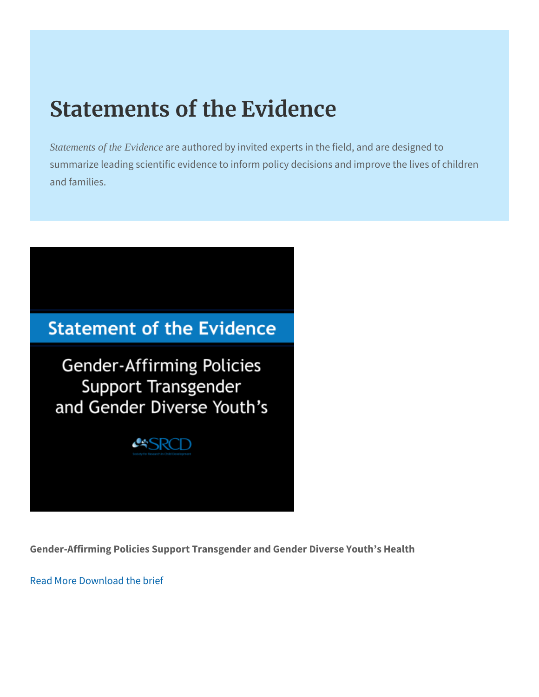## Statements of the Evidence

Statements of the Evidence re authored by invited experts in the field, and summarize leading scientific evidence to inform policy decisions and families.

Gender-Affirming Policies Support Transgender and Gender Diverse

[Read M](https://www.srcd.org/research/gender-affirming-policies-support-transgender-and-gender-diverse-youths-health)orenload the brief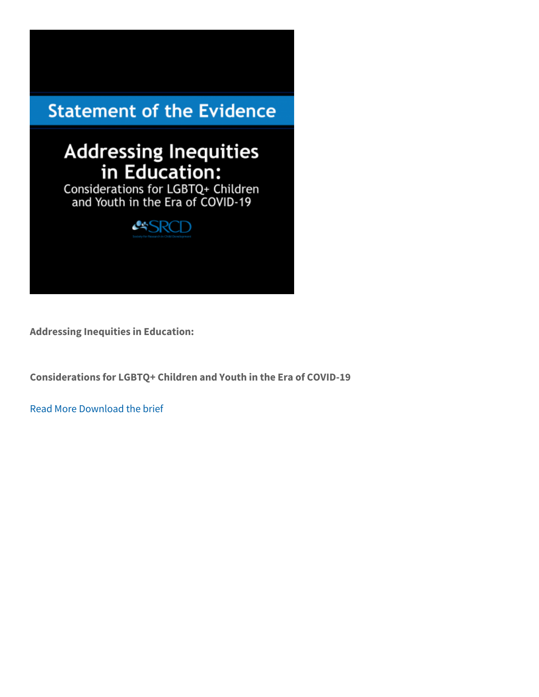Considerations for LGBTQ+ Children and Youth in the Era of COVID

Read Morrownload the brief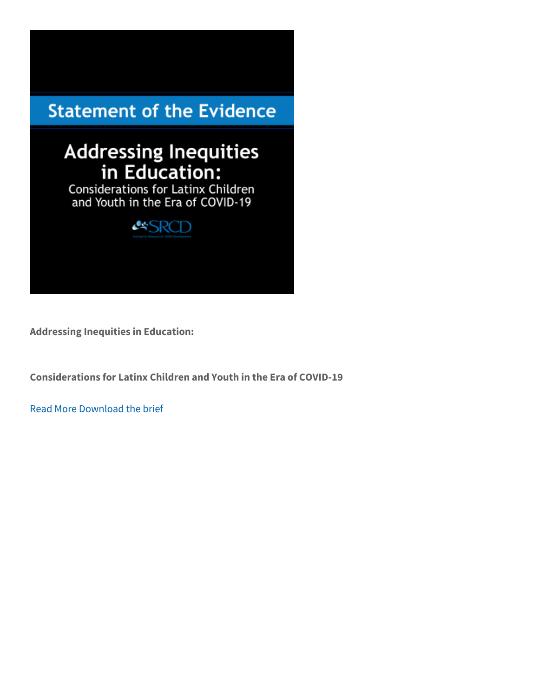Considerations for Latinx Children and Youth in the Era of COVID-1

Read Morwenload the brief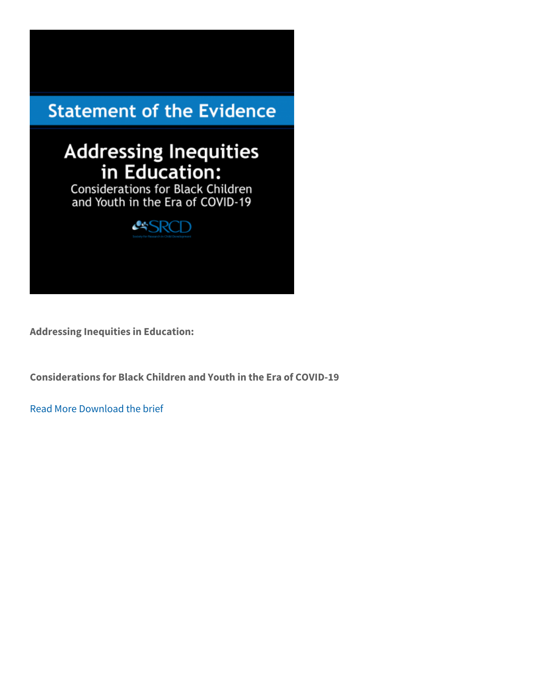Considerations for Black Children and Youth in the Era of COVID-19

Read Morwenload the brief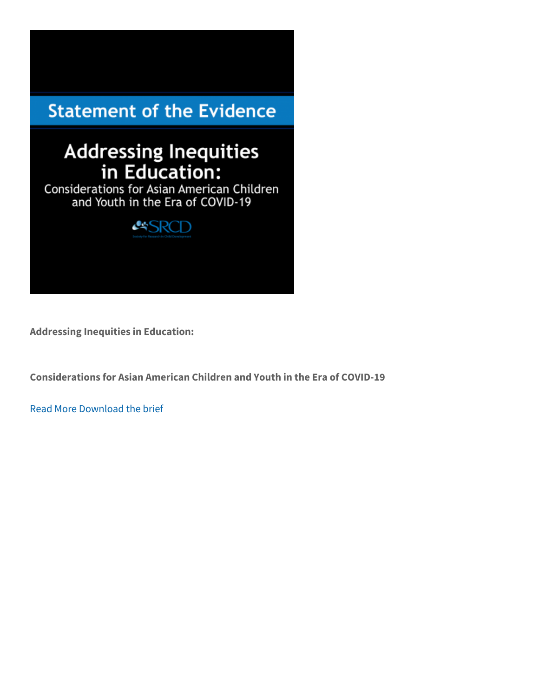Considerations for Asian American Children and Youth in the Era of

Read Morwenload the brief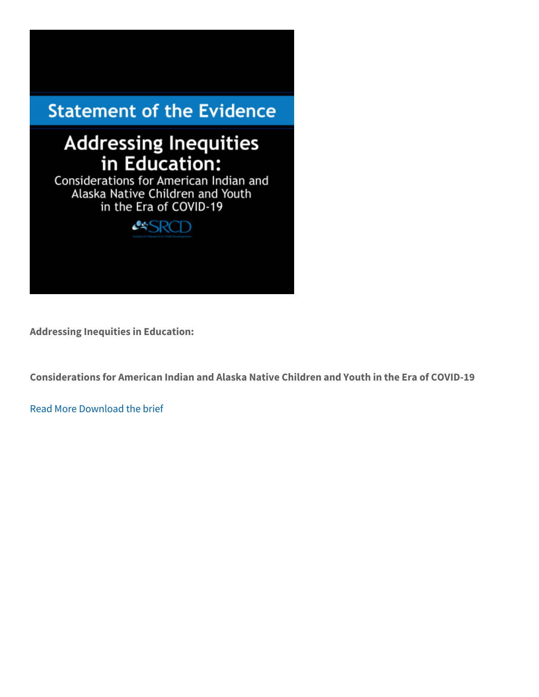Considerations for American Indian and Alaska Native Children and

Read Morrownload the brief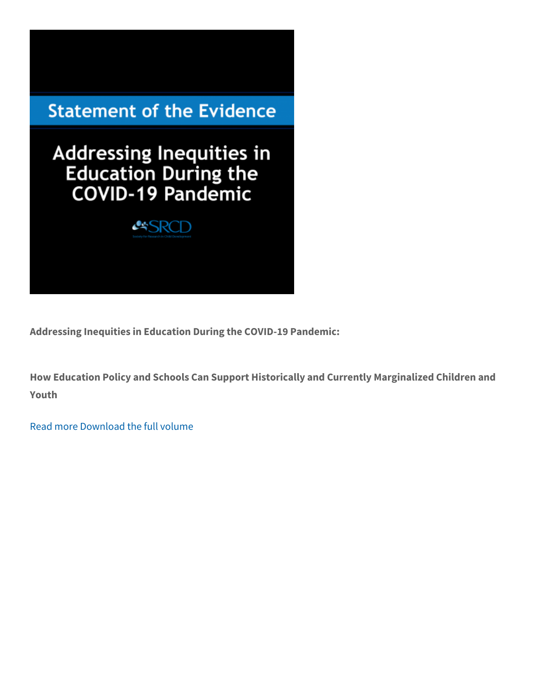Addressing Inequities in Education During the COVID-19 Pandemic:

How Education Policy and Schools Can Support Historically and Cur Youth

[Read m](https://www.srcd.org/research/addressing-inequities-education-during-covid-19-pandemic-how-education-policy-and-schools)[Download the f](https://www.srcd.org/sites/default/files/resources/FINAL_AddressingInequalitiesVolume-092020.pdf)ull volume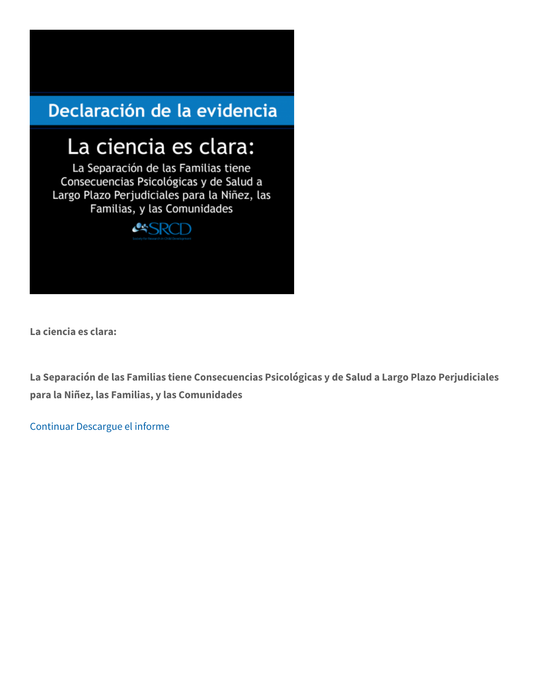La ciencia es clara:

La Separación de las Familias tiene Consecuencias Psicológicas y para la Niñez, las Familias, y las Comunidades

[Contin](https://www.srcd.org/briefs-fact-sheets/la-ciencia-es-clara) Dascargue el informe